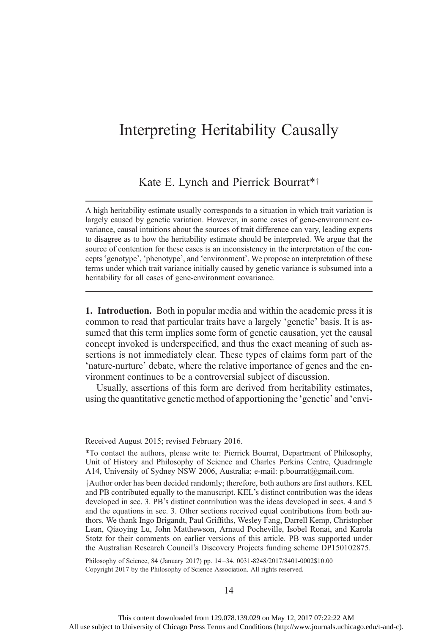## Interpreting Heritability Causally

## Kate E. Lynch and Pierrick Bourrat\*<sup>†</sup>

A high heritability estimate usually corresponds to a situation in which trait variation is largely caused by genetic variation. However, in some cases of gene-environment covariance, causal intuitions about the sources of trait difference can vary, leading experts to disagree as to how the heritability estimate should be interpreted. We argue that the source of contention for these cases is an inconsistency in the interpretation of the concepts 'genotype', 'phenotype', and 'environment'. We propose an interpretation of these terms under which trait variance initially caused by genetic variance is subsumed into a heritability for all cases of gene-environment covariance.

1. Introduction. Both in popular media and within the academic press it is common to read that particular traits have a largely 'genetic' basis. It is assumed that this term implies some form of genetic causation, yet the causal concept invoked is underspecified, and thus the exact meaning of such assertions is not immediately clear. These types of claims form part of the 'nature-nurture' debate, where the relative importance of genes and the environment continues to be a controversial subject of discussion.

Usually, assertions of this form are derived from heritability estimates, using the quantitative genetic method of apportioning the 'genetic' and 'envi-

Received August 2015; revised February 2016.

\*To contact the authors, please write to: Pierrick Bourrat, Department of Philosophy, Unit of History and Philosophy of Science and Charles Perkins Centre, Quadrangle A14, University of Sydney NSW 2006, Australia; e-mail: p.bourrat@gmail.com.

 $\dagger$ Author order has been decided randomly; therefore, both authors are first authors. KEL and PB contributed equally to the manuscript. KEL's distinct contribution was the ideas developed in sec. 3. PB's distinct contribution was the ideas developed in secs. 4 and 5 and the equations in sec. 3. Other sections received equal contributions from both authors. We thank Ingo Brigandt, Paul Griffiths, Wesley Fang, Darrell Kemp, Christopher Lean, Qiaoying Lu, John Matthewson, Arnaud Pocheville, Isobel Ronai, and Karola Stotz for their comments on earlier versions of this article. PB was supported under the Australian Research Council's Discovery Projects funding scheme DP150102875.

Philosophy of Science, 84 (January 2017) pp. 14 –34. 0031-8248/2017/8401-0002\$10.00 Copyright 2017 by the Philosophy of Science Association. All rights reserved.

14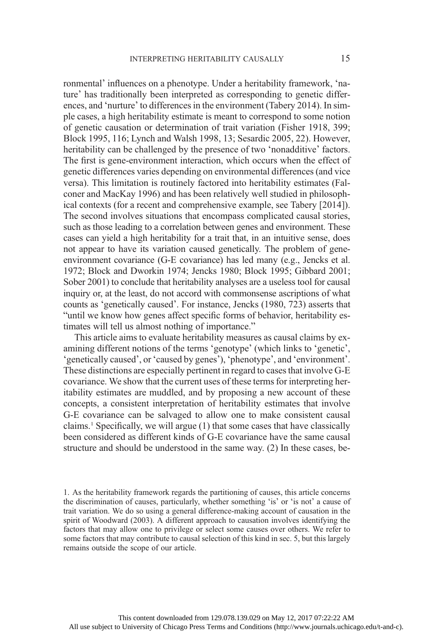ronmental' influences on a phenotype. Under a heritability framework, 'nature' has traditionally been interpreted as corresponding to genetic differences, and 'nurture' to differences in the environment (Tabery 2014). In simple cases, a high heritability estimate is meant to correspond to some notion of genetic causation or determination of trait variation (Fisher 1918, 399; Block 1995, 116; Lynch and Walsh 1998, 13; Sesardic 2005, 22). However, heritability can be challenged by the presence of two 'nonadditive' factors. The first is gene-environment interaction, which occurs when the effect of genetic differences varies depending on environmental differences (and vice versa). This limitation is routinely factored into heritability estimates (Falconer and MacKay 1996) and has been relatively well studied in philosophical contexts (for a recent and comprehensive example, see Tabery [2014]). The second involves situations that encompass complicated causal stories, such as those leading to a correlation between genes and environment. These cases can yield a high heritability for a trait that, in an intuitive sense, does not appear to have its variation caused genetically. The problem of geneenvironment covariance (G-E covariance) has led many (e.g., Jencks et al. 1972; Block and Dworkin 1974; Jencks 1980; Block 1995; Gibbard 2001; Sober 2001) to conclude that heritability analyses are a useless tool for causal inquiry or, at the least, do not accord with commonsense ascriptions of what counts as 'genetically caused'. For instance, Jencks (1980, 723) asserts that "until we know how genes affect specific forms of behavior, heritability estimates will tell us almost nothing of importance."

This article aims to evaluate heritability measures as causal claims by examining different notions of the terms 'genotype' (which links to 'genetic', 'genetically caused', or 'caused by genes'), 'phenotype', and 'environment'. These distinctions are especially pertinent in regard to cases that involve G-E covariance. We show that the current uses of these terms for interpreting heritability estimates are muddled, and by proposing a new account of these concepts, a consistent interpretation of heritability estimates that involve G-E covariance can be salvaged to allow one to make consistent causal claims.1 Specifically, we will argue (1) that some cases that have classically been considered as different kinds of G-E covariance have the same causal structure and should be understood in the same way. (2) In these cases, be-

1. As the heritability framework regards the partitioning of causes, this article concerns the discrimination of causes, particularly, whether something 'is' or 'is not' a cause of trait variation. We do so using a general difference-making account of causation in the spirit of Woodward (2003). A different approach to causation involves identifying the factors that may allow one to privilege or select some causes over others. We refer to some factors that may contribute to causal selection of this kind in sec. 5, but this largely remains outside the scope of our article.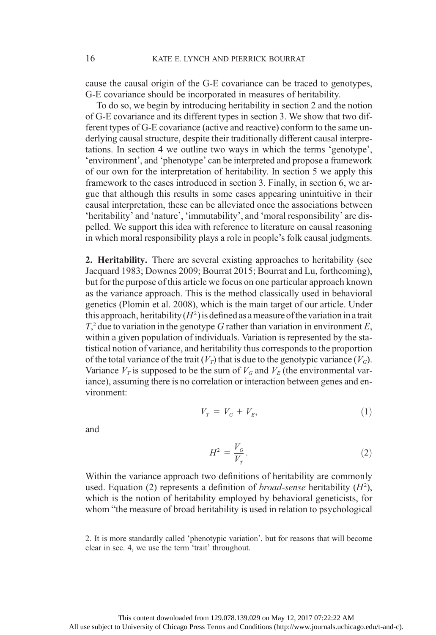cause the causal origin of the G-E covariance can be traced to genotypes, G-E covariance should be incorporated in measures of heritability.

To do so, we begin by introducing heritability in section 2 and the notion of G-E covariance and its different types in section 3. We show that two different types of G-E covariance (active and reactive) conform to the same underlying causal structure, despite their traditionally different causal interpretations. In section 4 we outline two ways in which the terms 'genotype', 'environment', and 'phenotype' can be interpreted and propose a framework of our own for the interpretation of heritability. In section 5 we apply this framework to the cases introduced in section 3. Finally, in section 6, we argue that although this results in some cases appearing unintuitive in their causal interpretation, these can be alleviated once the associations between 'heritability' and 'nature', 'immutability', and 'moral responsibility' are dispelled. We support this idea with reference to literature on causal reasoning in which moral responsibility plays a role in people's folk causal judgments.

2. Heritability. There are several existing approaches to heritability (see Jacquard 1983; Downes 2009; Bourrat 2015; Bourrat and Lu, forthcoming), but for the purpose of this article we focus on one particular approach known as the variance approach. This is the method classically used in behavioral genetics (Plomin et al. 2008), which is the main target of our article. Under this approach, heritability  $(H^2)$  is defined as a measure of the variation in a trait  $T<sub>z</sub><sup>2</sup>$  due to variation in the genotype G rather than variation in environment E, within a given population of individuals. Variation is represented by the statistical notion of variance, and heritability thus corresponds to the proportion of the total variance of the trait  $(V<sub>T</sub>)$  that is due to the genotypic variance  $(V<sub>G</sub>)$ . Variance  $V_T$  is supposed to be the sum of  $V_G$  and  $V_F$  (the environmental variance), assuming there is no correlation or interaction between genes and environment:

$$
V_r = V_G + V_E,\tag{1}
$$

and

$$
H^2 = \frac{V_G}{V_T}.\tag{2}
$$

Within the variance approach two definitions of heritability are commonly used. Equation (2) represents a definition of *broad-sense* heritability  $(H<sup>2</sup>)$ , which is the notion of heritability employed by behavioral geneticists, for whom "the measure of broad heritability is used in relation to psychological

<sup>2.</sup> It is more standardly called 'phenotypic variation', but for reasons that will become clear in sec. 4, we use the term 'trait' throughout.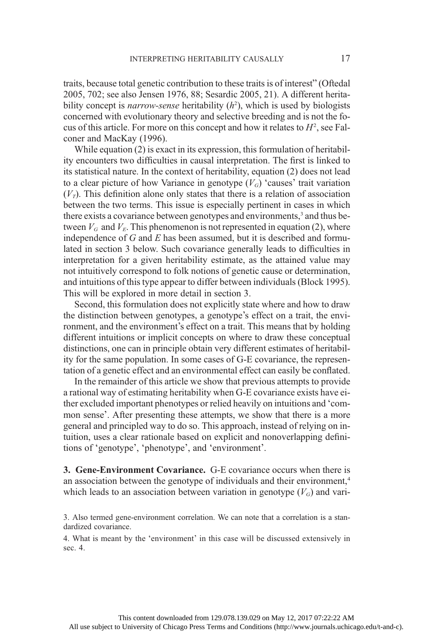traits, because total genetic contribution to these traits is of interest" (Oftedal 2005, 702; see also Jensen 1976, 88; Sesardic 2005, 21). A different heritability concept is *narrow-sense* heritability  $(h^2)$ , which is used by biologists concerned with evolutionary theory and selective breeding and is not the focus of this article. For more on this concept and how it relates to  $H^2$ , see Falconer and MacKay (1996).

While equation (2) is exact in its expression, this formulation of heritability encounters two difficulties in causal interpretation. The first is linked to its statistical nature. In the context of heritability, equation (2) does not lead to a clear picture of how Variance in genotype  $(V_G)$  'causes' trait variation  $(V<sub>T</sub>)$ . This definition alone only states that there is a relation of association between the two terms. This issue is especially pertinent in cases in which there exists a covariance between genotypes and environments,<sup>3</sup> and thus between  $V_G$  and  $V_E$ . This phenomenon is not represented in equation (2), where independence of  $G$  and  $E$  has been assumed, but it is described and formulated in section 3 below. Such covariance generally leads to difficulties in interpretation for a given heritability estimate, as the attained value may not intuitively correspond to folk notions of genetic cause or determination, and intuitions of this type appear to differ between individuals (Block 1995). This will be explored in more detail in section 3.

Second, this formulation does not explicitly state where and how to draw the distinction between genotypes, a genotype's effect on a trait, the environment, and the environment's effect on a trait. This means that by holding different intuitions or implicit concepts on where to draw these conceptual distinctions, one can in principle obtain very different estimates of heritability for the same population. In some cases of G-E covariance, the representation of a genetic effect and an environmental effect can easily be conflated.

In the remainder of this article we show that previous attempts to provide a rational way of estimating heritability when G-E covariance exists have either excluded important phenotypes or relied heavily on intuitions and 'common sense'. After presenting these attempts, we show that there is a more general and principled way to do so. This approach, instead of relying on intuition, uses a clear rationale based on explicit and nonoverlapping definitions of 'genotype', 'phenotype', and 'environment'.

3. Gene-Environment Covariance. G-E covariance occurs when there is an association between the genotype of individuals and their environment,<sup>4</sup> which leads to an association between variation in genotype  $(V_G)$  and vari-

4. What is meant by the 'environment' in this case will be discussed extensively in sec. 4.

<sup>3.</sup> Also termed gene-environment correlation. We can note that a correlation is a standardized covariance.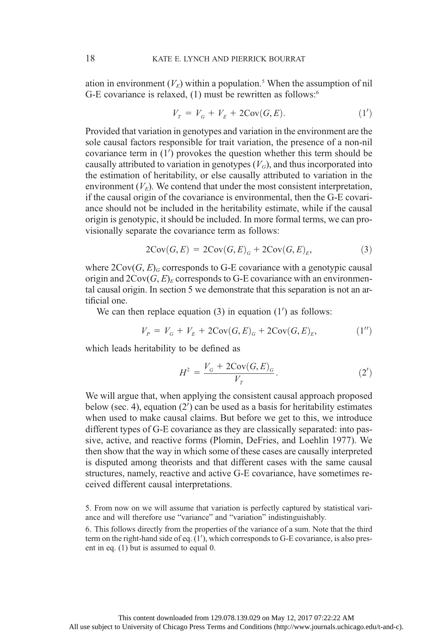ation in environment  $(V_F)$  within a population.<sup>5</sup> When the assumption of nil G-E covariance is relaxed, (1) must be rewritten as follows:<sup>6</sup>

$$
V_r = V_G + V_E + 2\text{Cov}(G, E). \tag{1'}
$$

Provided that variation in genotypes and variation in the environment are the sole causal factors responsible for trait variation, the presence of a non-nil covariance term in  $(1')$  provokes the question whether this term should be causally attributed to variation in genotypes  $(V_G)$ , and thus incorporated into the estimation of heritability, or else causally attributed to variation in the environment  $(V_E)$ . We contend that under the most consistent interpretation, if the causal origin of the covariance is environmental, then the G-E covariance should not be included in the heritability estimate, while if the causal origin is genotypic, it should be included. In more formal terms, we can provisionally separate the covariance term as follows: 18<br>
18 KATE E. LYNCH AND PIERRICK BOURRAT<br>
16 G-E covariance is relaxed, (1) must be rewritten as follows:<sup>6</sup><br>
16-E covariance is relaxed, (1) must be rewritten as follows:<sup>6</sup><br>  $V_T = V_G + V_E + 2\text{Cov}(G, E)$ . (1')<br>
Provided that

$$
2\text{Cov}(G, E) = 2\text{Cov}(G, E)G + 2\text{Cov}(G, E)E,
$$
\n(3)

where  $2\text{Cov}(G, E)_{G}$  corresponds to G-E covariance with a genotypic causal origin and  $2\text{Cov}(G, E)_{E}$  corresponds to G-E covariance with an environmental causal origin. In section 5 we demonstrate that this separation is not an artificial one.

We can then replace equation  $(3)$  in equation  $(1')$  as follows:

$$
V_P = V_G + V_E + 2\text{Cov}(G, E)_G + 2\text{Cov}(G, E)_E, \tag{1''}
$$

which leads heritability to be defined as

$$
H^{2} = \frac{V_{G} + 2\text{Cov}(G, E)_{G}}{V_{T}}.
$$
\n(2')

We will argue that, when applying the consistent causal approach proposed below (sec. 4), equation  $(2')$  can be used as a basis for heritability estimates when used to make causal claims. But before we get to this, we introduce different types of G-E covariance as they are classically separated: into passive, active, and reactive forms (Plomin, DeFries, and Loehlin 1977). We then show that the way in which some of these cases are causally interpreted is disputed among theorists and that different cases with the same causal structures, namely, reactive and active G-E covariance, have sometimes received different causal interpretations.

5. From now on we will assume that variation is perfectly captured by statistical variance and will therefore use "variance" and "variation" indistinguishably.

6. This follows directly from the properties of the variance of a sum. Note that the third term on the right-hand side of eq.  $(1')$ , which corresponds to G-E covariance, is also present in eq. (1) but is assumed to equal 0.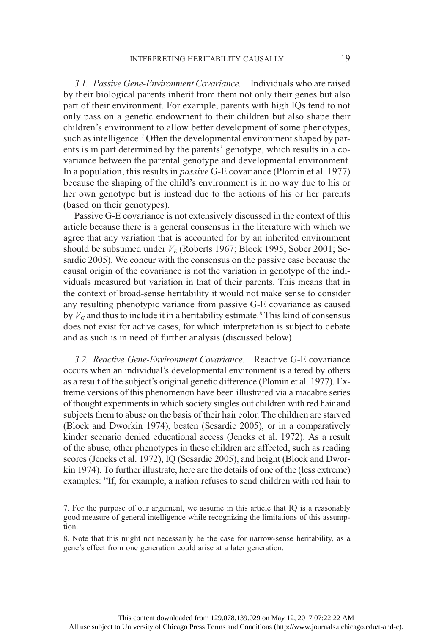3.1. Passive Gene-Environment Covariance. Individuals who are raised by their biological parents inherit from them not only their genes but also part of their environment. For example, parents with high IQs tend to not only pass on a genetic endowment to their children but also shape their children's environment to allow better development of some phenotypes, such as intelligence.<sup>7</sup> Often the developmental environment shaped by parents is in part determined by the parents' genotype, which results in a covariance between the parental genotype and developmental environment. In a population, this results in *passive* G-E covariance (Plomin et al. 1977) because the shaping of the child's environment is in no way due to his or her own genotype but is instead due to the actions of his or her parents (based on their genotypes).

Passive G-E covariance is not extensively discussed in the context of this article because there is a general consensus in the literature with which we agree that any variation that is accounted for by an inherited environment should be subsumed under  $V_F$  (Roberts 1967; Block 1995; Sober 2001; Sesardic 2005). We concur with the consensus on the passive case because the causal origin of the covariance is not the variation in genotype of the individuals measured but variation in that of their parents. This means that in the context of broad-sense heritability it would not make sense to consider any resulting phenotypic variance from passive G-E covariance as caused by  $V_G$  and thus to include it in a heritability estimate.<sup>8</sup> This kind of consensus does not exist for active cases, for which interpretation is subject to debate and as such is in need of further analysis (discussed below).

3.2. Reactive Gene-Environment Covariance. Reactive G-E covariance occurs when an individual's developmental environment is altered by others as a result of the subject's original genetic difference (Plomin et al. 1977). Extreme versions of this phenomenon have been illustrated via a macabre series of thought experiments in which society singles out children with red hair and subjects them to abuse on the basis of their hair color. The children are starved (Block and Dworkin 1974), beaten (Sesardic 2005), or in a comparatively kinder scenario denied educational access (Jencks et al. 1972). As a result of the abuse, other phenotypes in these children are affected, such as reading scores (Jencks et al. 1972), IQ (Sesardic 2005), and height (Block and Dworkin 1974). To further illustrate, here are the details of one of the (less extreme) examples: "If, for example, a nation refuses to send children with red hair to

<sup>7.</sup> For the purpose of our argument, we assume in this article that IQ is a reasonably good measure of general intelligence while recognizing the limitations of this assumption.

<sup>8.</sup> Note that this might not necessarily be the case for narrow-sense heritability, as a gene's effect from one generation could arise at a later generation.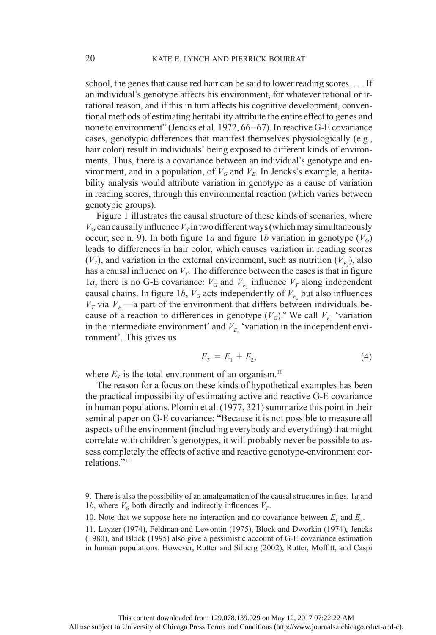school, the genes that cause red hair can be said to lower reading scores. . . . If an individual's genotype affects his environment, for whatever rational or irrational reason, and if this in turn affects his cognitive development, conventional methods of estimating heritability attribute the entire effect to genes and none to environment" (Jencks et al. 1972, 66–67). In reactive G-E covariance cases, genotypic differences that manifest themselves physiologically (e.g., hair color) result in individuals' being exposed to different kinds of environments. Thus, there is a covariance between an individual's genotype and environment, and in a population, of  $V_G$  and  $V_E$ . In Jencks's example, a heritability analysis would attribute variation in genotype as a cause of variation in reading scores, through this environmental reaction (which varies between genotypic groups).

Figure 1 illustrates the causal structure of these kinds of scenarios, where  $V_G$  can causally influence  $V_T$  in two different ways (which may simultaneously occur; see n. 9). In both figure 1a and figure 1b variation in genotype  $(V_G)$ leads to differences in hair color, which causes variation in reading scores  $(V_T)$ , and variation in the external environment, such as nutrition  $(V_{E_2})$ , also has a causal influence on  $V_T$ . The difference between the cases is that in figure 1a, there is no G-E covariance:  $V_G$  and  $V_{E_2}$  influence  $V_T$  along independent causal chains. In figure 1b,  $V_G$  acts independently of  $V_{E_2}$  but also influences  $V_T$  via  $V_{E_1}$ —a part of the environment that differs between individuals because of a reaction to differences in genotype  $(V_G)$ .<sup>9</sup> We call  $V_{E_1}$  'variation in the intermediate environment' and  $V_{E_2}$  'variation in the independent environment'. This gives us

$$
E_{T} = E_{1} + E_{2}, \tag{4}
$$

where  $E_T$  is the total environment of an organism.<sup>10</sup>

The reason for a focus on these kinds of hypothetical examples has been the practical impossibility of estimating active and reactive G-E covariance in human populations. Plomin et al. (1977, 321) summarize this point in their seminal paper on G-E covariance: "Because it is not possible to measure all aspects of the environment (including everybody and everything) that might correlate with children's genotypes, it will probably never be possible to assess completely the effects of active and reactive genotype-environment correlations."<sup>11</sup>

10. Note that we suppose here no interaction and no covariance between  $E_1$  and  $E_2$ .

<sup>9.</sup> There is also the possibility of an amalgamation of the causal structures in figs.  $1a$  and 1b, where  $V_G$  both directly and indirectly influences  $V_T$ .

<sup>11.</sup> Layzer (1974), Feldman and Lewontin (1975), Block and Dworkin (1974), Jencks (1980), and Block (1995) also give a pessimistic account of G-E covariance estimation in human populations. However, Rutter and Silberg (2002), Rutter, Moffitt, and Caspi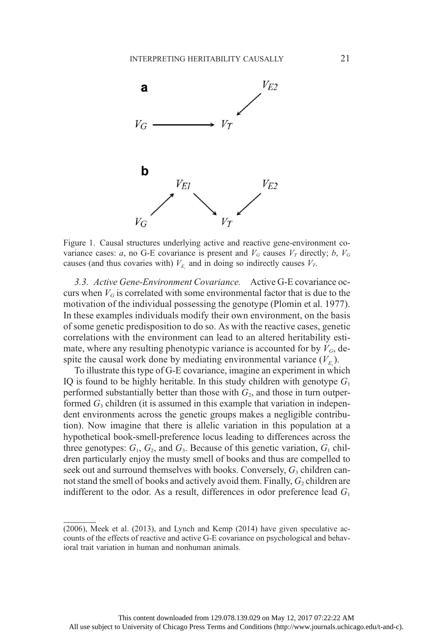

Figure 1. Causal structures underlying active and reactive gene-environment covariance cases: a, no G-E covariance is present and  $V_G$  causes  $V_T$  directly; b,  $V_G$ causes (and thus covaries with)  $V_{E_1}$  and in doing so indirectly causes  $V_T$ .

3.3. Active Gene-Environment Covariance. Active G-E covariance occurs when  $V_G$  is correlated with some environmental factor that is due to the motivation of the individual possessing the genotype (Plomin et al. 1977). In these examples individuals modify their own environment, on the basis of some genetic predisposition to do so. As with the reactive cases, genetic correlations with the environment can lead to an altered heritability estimate, where any resulting phenotypic variance is accounted for by  $V_G$ , despite the causal work done by mediating environmental variance  $(V_{E_1})$ .

To illustrate this type of G-E covariance, imagine an experiment in which IQ is found to be highly heritable. In this study children with genotype  $G_1$ performed substantially better than those with  $G<sub>2</sub>$ , and those in turn outperformed  $G_3$  children (it is assumed in this example that variation in independent environments across the genetic groups makes a negligible contribution). Now imagine that there is allelic variation in this population at a hypothetical book-smell-preference locus leading to differences across the three genotypes:  $G_1$ ,  $G_2$ , and  $G_3$ . Because of this genetic variation,  $G_1$  children particularly enjoy the musty smell of books and thus are compelled to seek out and surround themselves with books. Conversely,  $G_3$  children cannot stand the smell of books and actively avoid them. Finally,  $G_2$  children are indifferent to the odor. As a result, differences in odor preference lead  $G_1$ 

<sup>(2006),</sup> Meek et al. (2013), and Lynch and Kemp (2014) have given speculative accounts of the effects of reactive and active G-E covariance on psychological and behavioral trait variation in human and nonhuman animals.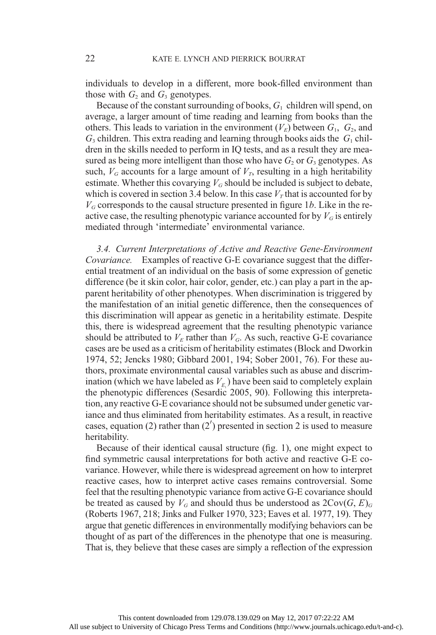individuals to develop in a different, more book-filled environment than those with  $G_2$  and  $G_3$  genotypes.

Because of the constant surrounding of books,  $G_1$  children will spend, on average, a larger amount of time reading and learning from books than the others. This leads to variation in the environment  $(V_E)$  between  $G_1$ ,  $G_2$ , and  $G_3$  children. This extra reading and learning through books aids the  $G_1$  children in the skills needed to perform in IQ tests, and as a result they are measured as being more intelligent than those who have  $G_2$  or  $G_3$  genotypes. As such,  $V_G$  accounts for a large amount of  $V_T$ , resulting in a high heritability estimate. Whether this covarying  $V_G$  should be included is subject to debate, which is covered in section 3.4 below. In this case  $V<sub>T</sub>$  that is accounted for by  $V_G$  corresponds to the causal structure presented in figure 1b. Like in the reactive case, the resulting phenotypic variance accounted for by  $V_G$  is entirely mediated through 'intermediate' environmental variance.

3.4. Current Interpretations of Active and Reactive Gene-Environment Covariance. Examples of reactive G-E covariance suggest that the differential treatment of an individual on the basis of some expression of genetic difference (be it skin color, hair color, gender, etc.) can play a part in the apparent heritability of other phenotypes. When discrimination is triggered by the manifestation of an initial genetic difference, then the consequences of this discrimination will appear as genetic in a heritability estimate. Despite this, there is widespread agreement that the resulting phenotypic variance should be attributed to  $V_E$  rather than  $V_G$ . As such, reactive G-E covariance cases are be used as a criticism of heritability estimates (Block and Dworkin 1974, 52; Jencks 1980; Gibbard 2001, 194; Sober 2001, 76). For these authors, proximate environmental causal variables such as abuse and discrimination (which we have labeled as  $V_{E_1}$ ) have been said to completely explain the phenotypic differences (Sesardic 2005, 90). Following this interpretation, any reactive G-E covariance should not be subsumed under genetic variance and thus eliminated from heritability estimates. As a result, in reactive cases, equation (2) rather than  $(2')$  presented in section 2 is used to measure heritability.

Because of their identical causal structure (fig. 1), one might expect to find symmetric causal interpretations for both active and reactive G-E covariance. However, while there is widespread agreement on how to interpret reactive cases, how to interpret active cases remains controversial. Some feel that the resulting phenotypic variance from active G-E covariance should be treated as caused by  $V_G$  and should thus be understood as  $2\text{Cov}(G, E)_{G}$ (Roberts 1967, 218; Jinks and Fulker 1970, 323; Eaves et al. 1977, 19). They argue that genetic differences in environmentally modifying behaviors can be thought of as part of the differences in the phenotype that one is measuring. That is, they believe that these cases are simply a reflection of the expression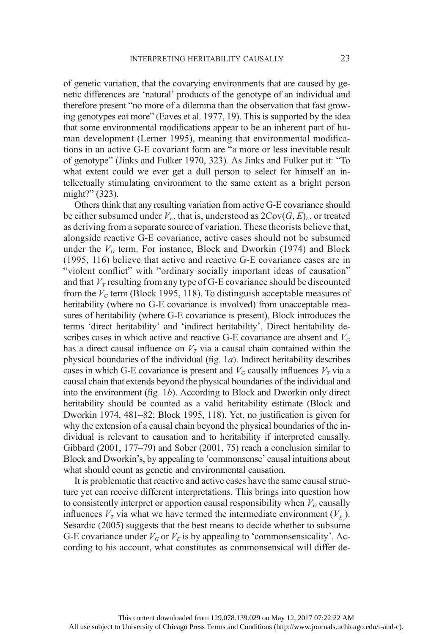of genetic variation, that the covarying environments that are caused by genetic differences are 'natural' products of the genotype of an individual and therefore present "no more of a dilemma than the observation that fast growing genotypes eat more" (Eaves et al. 1977, 19). This is supported by the idea that some environmental modifications appear to be an inherent part of human development (Lerner 1995), meaning that environmental modifications in an active G-E covariant form are "a more or less inevitable result of genotype" (Jinks and Fulker 1970, 323). As Jinks and Fulker put it: "To what extent could we ever get a dull person to select for himself an intellectually stimulating environment to the same extent as a bright person might?" (323).

Others think that any resulting variation from active G-E covariance should be either subsumed under  $V_F$ , that is, understood as  $2Cov(G, E)_{F}$ , or treated as deriving from a separate source of variation. These theorists believe that, alongside reactive G-E covariance, active cases should not be subsumed under the  $V_G$  term. For instance, Block and Dworkin (1974) and Block (1995, 116) believe that active and reactive G-E covariance cases are in "violent conflict" with "ordinary socially important ideas of causation" and that  $V_T$  resulting from any type of G-E covariance should be discounted from the  $V_G$  term (Block 1995, 118). To distinguish acceptable measures of heritability (where no G-E covariance is involved) from unacceptable measures of heritability (where G-E covariance is present), Block introduces the terms 'direct heritability' and 'indirect heritability'. Direct heritability describes cases in which active and reactive G-E covariance are absent and  $V_G$ has a direct causal influence on  $V<sub>T</sub>$  via a causal chain contained within the physical boundaries of the individual (fig.  $1a$ ). Indirect heritability describes cases in which G-E covariance is present and  $V_G$  causally influences  $V_T$  via a causal chain that extends beyond the physical boundaries of the individual and into the environment (fig. 1b). According to Block and Dworkin only direct heritability should be counted as a valid heritability estimate (Block and Dworkin 1974, 481–82; Block 1995, 118). Yet, no justification is given for why the extension of a causal chain beyond the physical boundaries of the individual is relevant to causation and to heritability if interpreted causally. Gibbard (2001, 177–79) and Sober (2001, 75) reach a conclusion similar to Block and Dworkin's, by appealing to 'commonsense' causal intuitions about what should count as genetic and environmental causation.

It is problematic that reactive and active cases have the same causal structure yet can receive different interpretations. This brings into question how to consistently interpret or apportion causal responsibility when  $V_G$  causally influences  $V_T$  via what we have termed the intermediate environment  $(V_{E_1})$ . Sesardic (2005) suggests that the best means to decide whether to subsume G-E covariance under  $V_G$  or  $V_E$  is by appealing to 'commonsensicality'. According to his account, what constitutes as commonsensical will differ de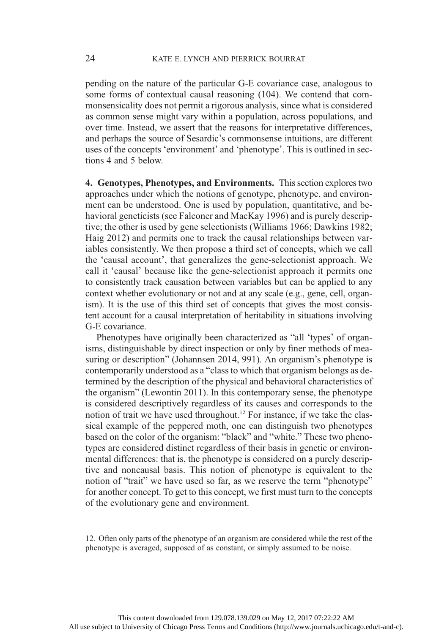pending on the nature of the particular G-E covariance case, analogous to some forms of contextual causal reasoning (104). We contend that commonsensicality does not permit a rigorous analysis, since what is considered as common sense might vary within a population, across populations, and over time. Instead, we assert that the reasons for interpretative differences, and perhaps the source of Sesardic's commonsense intuitions, are different uses of the concepts 'environment' and 'phenotype'. This is outlined in sections 4 and 5 below.

4. Genotypes, Phenotypes, and Environments. This section explores two approaches under which the notions of genotype, phenotype, and environment can be understood. One is used by population, quantitative, and behavioral geneticists (see Falconer and MacKay 1996) and is purely descriptive; the other is used by gene selectionists (Williams 1966; Dawkins 1982; Haig 2012) and permits one to track the causal relationships between variables consistently. We then propose a third set of concepts, which we call the 'causal account', that generalizes the gene-selectionist approach. We call it 'causal' because like the gene-selectionist approach it permits one to consistently track causation between variables but can be applied to any context whether evolutionary or not and at any scale (e.g., gene, cell, organism). It is the use of this third set of concepts that gives the most consistent account for a causal interpretation of heritability in situations involving G-E covariance.

Phenotypes have originally been characterized as "all 'types' of organisms, distinguishable by direct inspection or only by finer methods of measuring or description" (Johannsen 2014, 991). An organism's phenotype is contemporarily understood as a "class to which that organism belongs as determined by the description of the physical and behavioral characteristics of the organism" (Lewontin 2011). In this contemporary sense, the phenotype is considered descriptively regardless of its causes and corresponds to the notion of trait we have used throughout.12 For instance, if we take the classical example of the peppered moth, one can distinguish two phenotypes based on the color of the organism: "black" and "white." These two phenotypes are considered distinct regardless of their basis in genetic or environmental differences: that is, the phenotype is considered on a purely descriptive and noncausal basis. This notion of phenotype is equivalent to the notion of "trait" we have used so far, as we reserve the term "phenotype" for another concept. To get to this concept, we first must turn to the concepts of the evolutionary gene and environment.

12. Often only parts of the phenotype of an organism are considered while the rest of the phenotype is averaged, supposed of as constant, or simply assumed to be noise.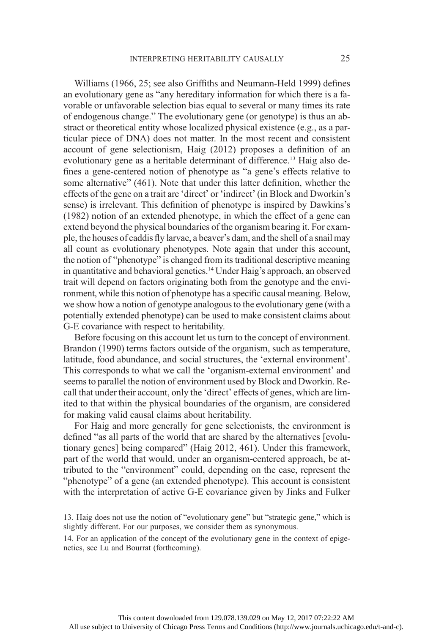Williams (1966, 25; see also Griffiths and Neumann-Held 1999) defines an evolutionary gene as "any hereditary information for which there is a favorable or unfavorable selection bias equal to several or many times its rate of endogenous change." The evolutionary gene (or genotype) is thus an abstract or theoretical entity whose localized physical existence (e.g., as a particular piece of DNA) does not matter. In the most recent and consistent account of gene selectionism, Haig (2012) proposes a definition of an evolutionary gene as a heritable determinant of difference.<sup>13</sup> Haig also defines a gene-centered notion of phenotype as "a gene's effects relative to some alternative" (461). Note that under this latter definition, whether the effects of the gene on a trait are 'direct' or 'indirect' (in Block and Dworkin's sense) is irrelevant. This definition of phenotype is inspired by Dawkins's (1982) notion of an extended phenotype, in which the effect of a gene can extend beyond the physical boundaries of the organism bearing it. For example, the houses of caddis fly larvae, a beaver's dam, and the shell of a snail may all count as evolutionary phenotypes. Note again that under this account, the notion of "phenotype" is changed from its traditional descriptive meaning in quantitative and behavioral genetics.14 Under Haig's approach, an observed trait will depend on factors originating both from the genotype and the environment, while this notion of phenotype has a specific causal meaning. Below, we show how a notion of genotype analogous to the evolutionary gene (with a potentially extended phenotype) can be used to make consistent claims about G-E covariance with respect to heritability.

Before focusing on this account let us turn to the concept of environment. Brandon (1990) terms factors outside of the organism, such as temperature, latitude, food abundance, and social structures, the 'external environment'. This corresponds to what we call the 'organism-external environment' and seems to parallel the notion of environment used by Block and Dworkin. Recall that under their account, only the 'direct' effects of genes, which are limited to that within the physical boundaries of the organism, are considered for making valid causal claims about heritability.

For Haig and more generally for gene selectionists, the environment is defined "as all parts of the world that are shared by the alternatives [evolutionary genes] being compared" (Haig 2012, 461). Under this framework, part of the world that would, under an organism-centered approach, be attributed to the "environment" could, depending on the case, represent the "phenotype" of a gene (an extended phenotype). This account is consistent with the interpretation of active G-E covariance given by Jinks and Fulker

14. For an application of the concept of the evolutionary gene in the context of epigenetics, see Lu and Bourrat (forthcoming).

<sup>13.</sup> Haig does not use the notion of "evolutionary gene" but "strategic gene," which is slightly different. For our purposes, we consider them as synonymous.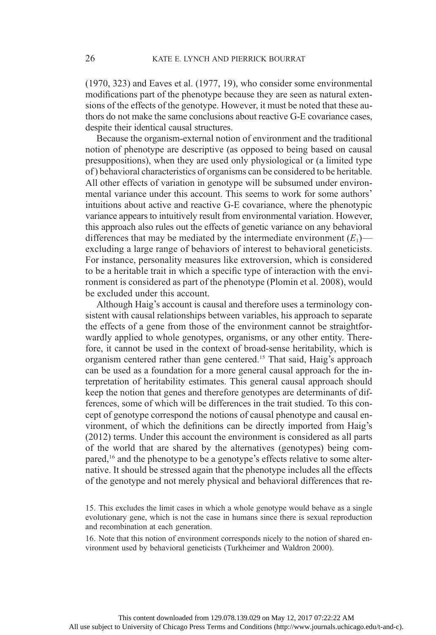(1970, 323) and Eaves et al. (1977, 19), who consider some environmental modifications part of the phenotype because they are seen as natural extensions of the effects of the genotype. However, it must be noted that these authors do not make the same conclusions about reactive G-E covariance cases, despite their identical causal structures.

Because the organism-external notion of environment and the traditional notion of phenotype are descriptive (as opposed to being based on causal presuppositions), when they are used only physiological or (a limited type of ) behavioral characteristics of organisms can be considered to be heritable. All other effects of variation in genotype will be subsumed under environmental variance under this account. This seems to work for some authors' intuitions about active and reactive G-E covariance, where the phenotypic variance appears to intuitively result from environmental variation. However, this approach also rules out the effects of genetic variance on any behavioral differences that may be mediated by the intermediate environment  $(E_1)$  excluding a large range of behaviors of interest to behavioral geneticists. For instance, personality measures like extroversion, which is considered to be a heritable trait in which a specific type of interaction with the environment is considered as part of the phenotype (Plomin et al. 2008), would be excluded under this account.

Although Haig's account is causal and therefore uses a terminology consistent with causal relationships between variables, his approach to separate the effects of a gene from those of the environment cannot be straightforwardly applied to whole genotypes, organisms, or any other entity. Therefore, it cannot be used in the context of broad-sense heritability, which is organism centered rather than gene centered.15 That said, Haig's approach can be used as a foundation for a more general causal approach for the interpretation of heritability estimates. This general causal approach should keep the notion that genes and therefore genotypes are determinants of differences, some of which will be differences in the trait studied. To this concept of genotype correspond the notions of causal phenotype and causal environment, of which the definitions can be directly imported from Haig's (2012) terms. Under this account the environment is considered as all parts of the world that are shared by the alternatives (genotypes) being compared,16 and the phenotype to be a genotype's effects relative to some alternative. It should be stressed again that the phenotype includes all the effects of the genotype and not merely physical and behavioral differences that re-

16. Note that this notion of environment corresponds nicely to the notion of shared environment used by behavioral geneticists (Turkheimer and Waldron 2000).

<sup>15.</sup> This excludes the limit cases in which a whole genotype would behave as a single evolutionary gene, which is not the case in humans since there is sexual reproduction and recombination at each generation.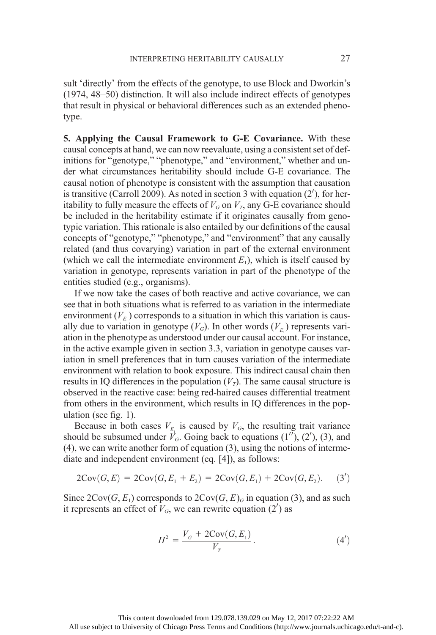sult 'directly' from the effects of the genotype, to use Block and Dworkin's (1974, 48–50) distinction. It will also include indirect effects of genotypes that result in physical or behavioral differences such as an extended phenotype.

5. Applying the Causal Framework to G-E Covariance. With these causal concepts at hand, we can now reevaluate, using a consistent set of definitions for "genotype," "phenotype," and "environment," whether and under what circumstances heritability should include G-E covariance. The causal notion of phenotype is consistent with the assumption that causation is transitive (Carroll 2009). As noted in section 3 with equation  $(2')$ , for heritability to fully measure the effects of  $V_G$  on  $V_T$ , any G-E covariance should be included in the heritability estimate if it originates causally from genotypic variation. This rationale is also entailed by our definitions of the causal concepts of "genotype," "phenotype," and "environment" that any causally related (and thus covarying) variation in part of the external environment (which we call the intermediate environment  $E_1$ ), which is itself caused by variation in genotype, represents variation in part of the phenotype of the entities studied (e.g., organisms).

If we now take the cases of both reactive and active covariance, we can see that in both situations what is referred to as variation in the intermediate environment  $(V_{E_1})$  corresponds to a situation in which this variation is causally due to variation in genotype  $(V_G)$ . In other words  $(V_{E_1})$  represents variation in the phenotype as understood under our causal account. For instance, in the active example given in section 3.3, variation in genotype causes variation in smell preferences that in turn causes variation of the intermediate environment with relation to book exposure. This indirect causal chain then results in IQ differences in the population  $(V<sub>T</sub>)$ . The same causal structure is observed in the reactive case: being red-haired causes differential treatment from others in the environment, which results in IQ differences in the population (see fig. 1).

Because in both cases  $V_{E_1}$  is caused by  $V_G$ , the resulting trait variance should be subsumed under  $V_G$ . Going back to equations  $(1'')$ ,  $(2')$ ,  $(3)$ , and (4), we can write another form of equation (3), using the notions of intermediate and independent environment (eq. [4]), as follows:

$$
2\text{Cov}(G, E) = 2\text{Cov}(G, E_1 + E_2) = 2\text{Cov}(G, E_1) + 2\text{Cov}(G, E_2). \quad (3')
$$

Since  $2\text{Cov}(G, E_1)$  corresponds to  $2\text{Cov}(G, E)$ <sub>G</sub> in equation (3), and as such it represents an effect of  $V_G$ , we can rewrite equation  $(2')$  as

$$
H^{2} = \frac{V_{G} + 2\text{Cov}(G, E_{1})}{V_{T}}.
$$
\n(4')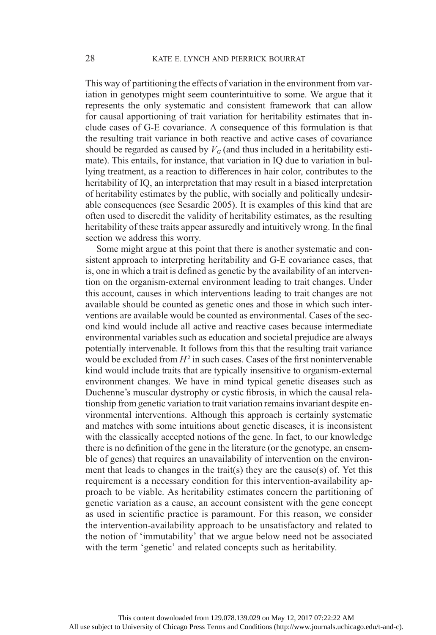This way of partitioning the effects of variation in the environment from variation in genotypes might seem counterintuitive to some. We argue that it represents the only systematic and consistent framework that can allow for causal apportioning of trait variation for heritability estimates that include cases of G-E covariance. A consequence of this formulation is that the resulting trait variance in both reactive and active cases of covariance should be regarded as caused by  $V_G$  (and thus included in a heritability estimate). This entails, for instance, that variation in IQ due to variation in bullying treatment, as a reaction to differences in hair color, contributes to the heritability of IQ, an interpretation that may result in a biased interpretation of heritability estimates by the public, with socially and politically undesirable consequences (see Sesardic 2005). It is examples of this kind that are often used to discredit the validity of heritability estimates, as the resulting heritability of these traits appear assuredly and intuitively wrong. In the final section we address this worry.

Some might argue at this point that there is another systematic and consistent approach to interpreting heritability and G-E covariance cases, that is, one in which a trait is defined as genetic by the availability of an intervention on the organism-external environment leading to trait changes. Under this account, causes in which interventions leading to trait changes are not available should be counted as genetic ones and those in which such interventions are available would be counted as environmental. Cases of the second kind would include all active and reactive cases because intermediate environmental variables such as education and societal prejudice are always potentially intervenable. It follows from this that the resulting trait variance would be excluded from  $H^2$  in such cases. Cases of the first nonintervenable kind would include traits that are typically insensitive to organism-external environment changes. We have in mind typical genetic diseases such as Duchenne's muscular dystrophy or cystic fibrosis, in which the causal relationship from genetic variation to trait variation remains invariant despite environmental interventions. Although this approach is certainly systematic and matches with some intuitions about genetic diseases, it is inconsistent with the classically accepted notions of the gene. In fact, to our knowledge there is no definition of the gene in the literature (or the genotype, an ensemble of genes) that requires an unavailability of intervention on the environment that leads to changes in the trait(s) they are the cause(s) of. Yet this requirement is a necessary condition for this intervention-availability approach to be viable. As heritability estimates concern the partitioning of genetic variation as a cause, an account consistent with the gene concept as used in scientific practice is paramount. For this reason, we consider the intervention-availability approach to be unsatisfactory and related to the notion of 'immutability' that we argue below need not be associated with the term 'genetic' and related concepts such as heritability.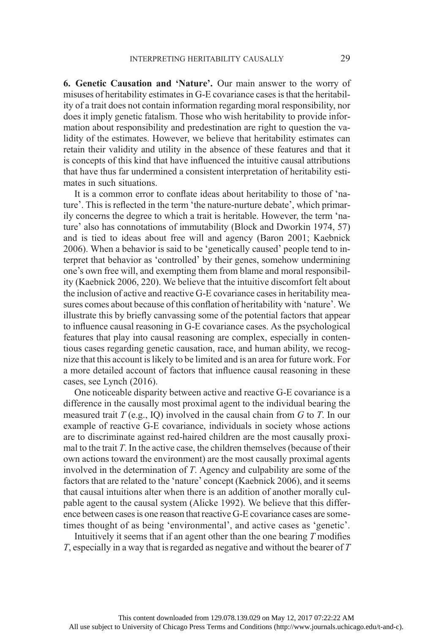6. Genetic Causation and 'Nature'. Our main answer to the worry of misuses of heritability estimates in G-E covariance cases is that the heritability of a trait does not contain information regarding moral responsibility, nor does it imply genetic fatalism. Those who wish heritability to provide information about responsibility and predestination are right to question the validity of the estimates. However, we believe that heritability estimates can retain their validity and utility in the absence of these features and that it is concepts of this kind that have influenced the intuitive causal attributions that have thus far undermined a consistent interpretation of heritability estimates in such situations.

It is a common error to conflate ideas about heritability to those of 'nature'. This is reflected in the term 'the nature-nurture debate', which primarily concerns the degree to which a trait is heritable. However, the term 'nature' also has connotations of immutability (Block and Dworkin 1974, 57) and is tied to ideas about free will and agency (Baron 2001; Kaebnick 2006). When a behavior is said to be 'genetically caused' people tend to interpret that behavior as 'controlled' by their genes, somehow undermining one's own free will, and exempting them from blame and moral responsibility (Kaebnick 2006, 220). We believe that the intuitive discomfort felt about the inclusion of active and reactive G-E covariance cases in heritability measures comes about because of this conflation of heritability with 'nature'. We illustrate this by briefly canvassing some of the potential factors that appear to influence causal reasoning in G-E covariance cases. As the psychological features that play into causal reasoning are complex, especially in contentious cases regarding genetic causation, race, and human ability, we recognize that this account is likely to be limited and is an area for future work. For a more detailed account of factors that influence causal reasoning in these cases, see Lynch (2016).

One noticeable disparity between active and reactive G-E covariance is a difference in the causally most proximal agent to the individual bearing the measured trait  $T$  (e.g., IQ) involved in the causal chain from  $G$  to  $T$ . In our example of reactive G-E covariance, individuals in society whose actions are to discriminate against red-haired children are the most causally proximal to the trait  $T$ . In the active case, the children themselves (because of their own actions toward the environment) are the most causally proximal agents involved in the determination of T. Agency and culpability are some of the factors that are related to the 'nature' concept (Kaebnick 2006), and it seems that causal intuitions alter when there is an addition of another morally culpable agent to the causal system (Alicke 1992). We believe that this difference between cases is one reason that reactive G-E covariance cases are sometimes thought of as being 'environmental', and active cases as 'genetic'.

Intuitively it seems that if an agent other than the one bearing  $T$  modifies T, especially in a way that is regarded as negative and without the bearer of T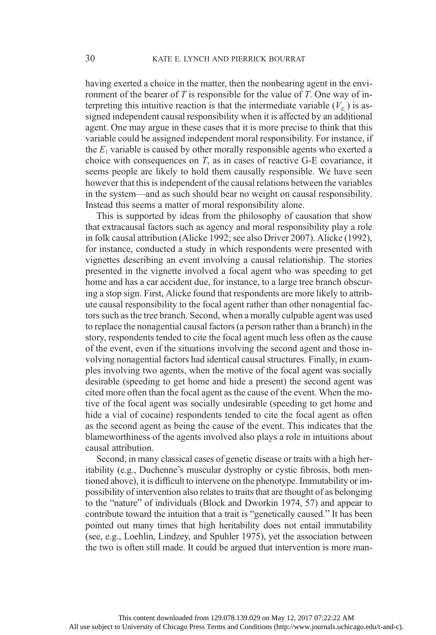having exerted a choice in the matter, then the nonbearing agent in the environment of the bearer of T is responsible for the value of T. One way of interpreting this intuitive reaction is that the intermediate variable  $(V_{E_1})$  is assigned independent causal responsibility when it is affected by an additional agent. One may argue in these cases that it is more precise to think that this variable could be assigned independent moral responsibility. For instance, if the  $E_1$  variable is caused by other morally responsible agents who exerted a choice with consequences on T, as in cases of reactive G-E covariance, it seems people are likely to hold them causally responsible. We have seen however that this is independent of the causal relations between the variables in the system—and as such should bear no weight on causal responsibility. Instead this seems a matter of moral responsibility alone.

This is supported by ideas from the philosophy of causation that show that extracausal factors such as agency and moral responsibility play a role in folk causal attribution (Alicke 1992; see also Driver 2007). Alicke (1992), for instance, conducted a study in which respondents were presented with vignettes describing an event involving a causal relationship. The stories presented in the vignette involved a focal agent who was speeding to get home and has a car accident due, for instance, to a large tree branch obscuring a stop sign. First, Alicke found that respondents are more likely to attribute causal responsibility to the focal agent rather than other nonagential factors such as the tree branch. Second, when a morally culpable agent was used to replace the nonagential causal factors (a person rather than a branch) in the story, respondents tended to cite the focal agent much less often as the cause of the event, even if the situations involving the second agent and those involving nonagential factors had identical causal structures. Finally, in examples involving two agents, when the motive of the focal agent was socially desirable (speeding to get home and hide a present) the second agent was cited more often than the focal agent as the cause of the event. When the motive of the focal agent was socially undesirable (speeding to get home and hide a vial of cocaine) respondents tended to cite the focal agent as often as the second agent as being the cause of the event. This indicates that the blameworthiness of the agents involved also plays a role in intuitions about causal attribution.

Second, in many classical cases of genetic disease or traits with a high heritability (e.g., Duchenne's muscular dystrophy or cystic fibrosis, both mentioned above), it is difficult to intervene on the phenotype. Immutability or impossibility of intervention also relates to traits that are thought of as belonging to the "nature" of individuals (Block and Dworkin 1974, 57) and appear to contribute toward the intuition that a trait is "genetically caused." It has been pointed out many times that high heritability does not entail immutability (see, e.g., Loehlin, Lindzey, and Spuhler 1975), yet the association between the two is often still made. It could be argued that intervention is more man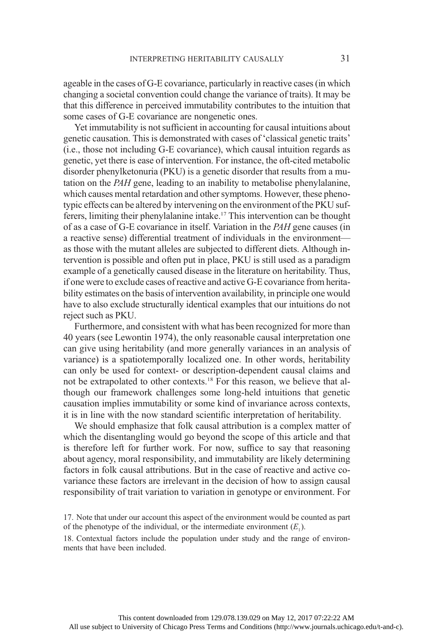ageable in the cases of G-E covariance, particularly in reactive cases (in which changing a societal convention could change the variance of traits). It may be that this difference in perceived immutability contributes to the intuition that some cases of G-E covariance are nongenetic ones.

Yet immutability is not sufficient in accounting for causal intuitions about genetic causation. This is demonstrated with cases of 'classical genetic traits' (i.e., those not including G-E covariance), which causal intuition regards as genetic, yet there is ease of intervention. For instance, the oft-cited metabolic disorder phenylketonuria (PKU) is a genetic disorder that results from a mutation on the PAH gene, leading to an inability to metabolise phenylalanine, which causes mental retardation and other symptoms. However, these phenotypic effects can be altered by intervening on the environment of the PKU sufferers, limiting their phenylalanine intake.17 This intervention can be thought of as a case of G-E covariance in itself. Variation in the PAH gene causes (in a reactive sense) differential treatment of individuals in the environment as those with the mutant alleles are subjected to different diets. Although intervention is possible and often put in place, PKU is still used as a paradigm example of a genetically caused disease in the literature on heritability. Thus, if one were to exclude cases of reactive and active G-E covariance from heritability estimates on the basis of intervention availability, in principle one would have to also exclude structurally identical examples that our intuitions do not reject such as PKU.

Furthermore, and consistent with what has been recognized for more than 40 years (see Lewontin 1974), the only reasonable causal interpretation one can give using heritability (and more generally variances in an analysis of variance) is a spatiotemporally localized one. In other words, heritability can only be used for context- or description-dependent causal claims and not be extrapolated to other contexts.18 For this reason, we believe that although our framework challenges some long-held intuitions that genetic causation implies immutability or some kind of invariance across contexts, it is in line with the now standard scientific interpretation of heritability.

We should emphasize that folk causal attribution is a complex matter of which the disentangling would go beyond the scope of this article and that is therefore left for further work. For now, suffice to say that reasoning about agency, moral responsibility, and immutability are likely determining factors in folk causal attributions. But in the case of reactive and active covariance these factors are irrelevant in the decision of how to assign causal responsibility of trait variation to variation in genotype or environment. For

18. Contextual factors include the population under study and the range of environments that have been included.

<sup>17.</sup> Note that under our account this aspect of the environment would be counted as part of the phenotype of the individual, or the intermediate environment  $(E_1)$ .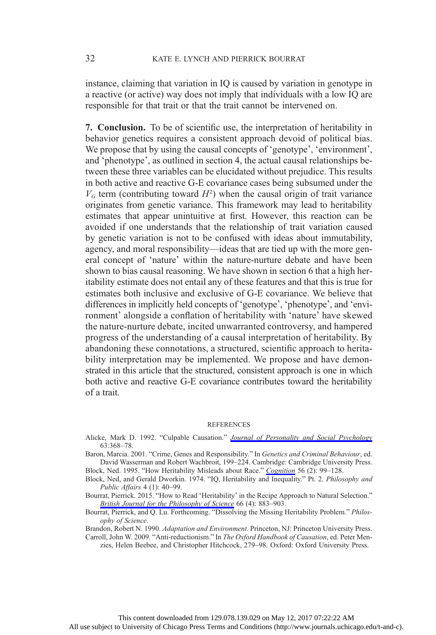instance, claiming that variation in IQ is caused by variation in genotype in a reactive (or active) way does not imply that individuals with a low IQ are responsible for that trait or that the trait cannot be intervened on.

7. Conclusion. To be of scientific use, the interpretation of heritability in behavior genetics requires a consistent approach devoid of political bias. We propose that by using the causal concepts of 'genotype', 'environment', and 'phenotype', as outlined in section 4, the actual causal relationships between these three variables can be elucidated without prejudice. This results in both active and reactive G-E covariance cases being subsumed under the  $V_G$  term (contributing toward  $H^2$ ) when the causal origin of trait variance originates from genetic variance. This framework may lead to heritability estimates that appear unintuitive at first. However, this reaction can be avoided if one understands that the relationship of trait variation caused by genetic variation is not to be confused with ideas about immutability, agency, and moral responsibility—ideas that are tied up with the more general concept of 'nature' within the nature-nurture debate and have been shown to bias causal reasoning. We have shown in section 6 that a high heritability estimate does not entail any of these features and that this is true for estimates both inclusive and exclusive of G-E covariance. We believe that differences in implicitly held concepts of 'genotype', 'phenotype', and 'environment' alongside a conflation of heritability with 'nature' have skewed the nature-nurture debate, incited unwarranted controversy, and hampered progress of the understanding of a causal interpretation of heritability. By abandoning these connotations, a structured, scientific approach to heritability interpretation may be implemented. We propose and have demonstrated in this article that the structured, consistent approach is one in which both active and reactive G-E covariance contributes toward the heritability of a trait.

## **REFERENCES**

- Alicke, Mark D. 1992. "Culpable Causation." [Journal of Personality and Social Psychology](http://www.journals.uchicago.edu/action/showLinks?crossref=10.1037%2F0022-3514.63.3.368) 63:368–78.
- Baron, Marcia. 2001. "Crime, Genes and Responsibility." In Genetics and Criminal Behaviour, ed. David Wasserman and Robert Wachbroit, 199–224. Cambridge: Cambridge University Press. Block, Ned. 1995. "How Heritability Misleads about Race." [Cognition](http://www.journals.uchicago.edu/action/showLinks?crossref=10.1016%2F0010-0277%2895%2900678-R) 56 (2): 99-128.

Block, Ned, and Gerald Dworkin. 1974. "IQ, Heritability and Inequality." Pt. 2. Philosophy and Public Affairs 4 (1): 40–99.

Bourrat, Pierrick. 2015. "How to Read 'Heritability' in the Recipe Approach to Natural Selection." [British Journal for the Philosophy of Science](http://www.journals.uchicago.edu/action/showLinks?crossref=10.1093%2Fbjps%2Faxu015) 66 (4): 883-903.

Bourrat, Pierrick, and Q. Lu. Forthcoming. "Dissolving the Missing Heritability Problem." Philosophy of Science.

Brandon, Robert N. 1990. Adaptation and Environment. Princeton, NJ: Princeton University Press. Carroll, John W. 2009. "Anti-reductionism." In The Oxford Handbook of Causation, ed. Peter Men-

zies, Helen Beebee, and Christopher Hitchcock, 279–98. Oxford: Oxford University Press.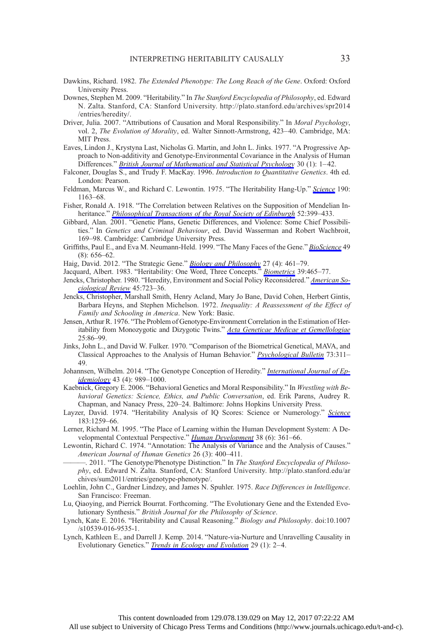- Dawkins, Richard. 1982. The Extended Phenotype: The Long Reach of the Gene. Oxford: Oxford University Press.
- Downes, Stephen M. 2009. "Heritability." In The Stanford Encyclopedia of Philosophy, ed. Edward N. Zalta. Stanford, CA: Stanford University. http://plato.stanford.edu/archives/spr2014 /entries/heredity/.
- Driver, Julia. 2007. "Attributions of Causation and Moral Responsibility." In Moral Psychology, vol. 2, The Evolution of Morality, ed. Walter Sinnott-Armstrong, 423–40. Cambridge, MA: MIT Press.
- Eaves, Lindon J., Krystyna Last, Nicholas G. Martin, and John L. Jinks. 1977. "A Progressive Approach to Non-additivity and Genotype-Environmental Covariance in the Analysis of Human Differences." *[British Journal of Mathematical and Statistical Psychology](http://www.journals.uchicago.edu/action/showLinks?crossref=10.1111%2Fj.2044-8317.1977.tb00722.x)* 30 (1): 1–42.
- Falconer, Douglas S., and Trudy F. MacKay. 1996. Introduction to Quantitative Genetics. 4th ed. London: Pearson.
- Feldman, Marcus W., and Richard C. Lewontin. 1975. "The Heritability Hang-Up." [Science](http://www.journals.uchicago.edu/action/showLinks?pmid=1198102&crossref=10.1126%2Fscience.1198102) 190: 1163–68.
- Fisher, Ronald A. 1918. "The Correlation between Relatives on the Supposition of Mendelian In-heritance." [Philosophical Transactions of the Royal Society of Edinburgh](http://www.journals.uchicago.edu/action/showLinks?crossref=10.1017%2FS0080456800012163) 52:399–433.
- Gibbard, Alan. 2001. "Genetic Plans, Genetic Differences, and Violence: Some Chief Possibilities." In Genetics and Criminal Behaviour, ed. David Wasserman and Robert Wachbroit, 169–98. Cambridge: Cambridge University Press.
- Griffiths, Paul E., and Eva M. Neumann-Held. 1999. "The Many Faces of the Gene." [BioScience](http://www.journals.uchicago.edu/action/showLinks?crossref=10.2307%2F1313441) 49 (8): 656–62.
- Haig, David. 2012. "The Strategic Gene." [Biology and Philosophy](http://www.journals.uchicago.edu/action/showLinks?crossref=10.1007%2Fs10539-012-9315-5) 27 (4): 461-79.
- Jacquard, Albert. 1983. "Heritability: One Word, Three Concepts." [Biometrics](http://www.journals.uchicago.edu/action/showLinks?pmid=6626665&crossref=10.2307%2F2531017) 39:465-77.
- Jencks, Christopher. 1980. "Heredity, Environment and Social Policy Reconsidered." [American So](http://www.journals.uchicago.edu/action/showLinks?crossref=10.2307%2F2094892)[ciological Review](http://www.journals.uchicago.edu/action/showLinks?crossref=10.2307%2F2094892) 45:723–36.
- Jencks, Christopher, Marshall Smith, Henry Acland, Mary Jo Bane, David Cohen, Herbert Gintis, Barbara Heyns, and Stephen Michelson. 1972. Inequality: A Reassessment of the Effect of Family and Schooling in America. New York: Basic.
- Jensen, Arthur R. 1976. "The Problem of Genotype-Environment Correlation in the Estimation of Her-itability from Monozygotic and Dizygotic Twins." [Acta Geneticae Medicae et Gemellologiae](http://www.journals.uchicago.edu/action/showLinks?crossref=10.1017%2FS000156600001391X)  $75.86 - 99$
- Jinks, John L., and David W. Fulker. 1970. "Comparison of the Biometrical Genetical, MAVA, and Classical Approaches to the Analysis of Human Behavior." *[Psychological Bulletin](http://www.journals.uchicago.edu/action/showLinks?crossref=10.1037%2Fh0029135)* 73:311– 49.
- Johannsen, Wilhelm. 2014. "The Genotype Conception of Heredity." [International Journal of Ep](http://www.journals.uchicago.edu/action/showLinks?crossref=10.1093%2Fije%2Fdyu063)[idemiology](http://www.journals.uchicago.edu/action/showLinks?crossref=10.1093%2Fije%2Fdyu063) 43 (4): 989–1000.
- Kaebnick, Gregory E. 2006. "Behavioral Genetics and Moral Responsibility." In Wrestling with Behavioral Genetics: Science, Ethics, and Public Conversation, ed. Erik Parens, Audrey R. Chapman, and Nanacy Press, 220–24. Baltimore: Johns Hopkins University Press.
- Layzer, David. 1974. "Heritability Analysis of IO Scores: [Science](http://www.journals.uchicago.edu/action/showLinks?crossref=10.1126%2Fscience.183.4131.1259) or Numerology." Science 183:1259–66.
- Lerner, Richard M. 1995. "The Place of Learning within the Human Development System: A Developmental Contextual Perspective." *[Human Development](http://www.journals.uchicago.edu/action/showLinks?crossref=10.1159%2F000278342)* 38 (6): 361-66.
- Lewontin, Richard C. 1974. "Annotation: The Analysis of Variance and the Analysis of Causes." American Journal of Human Genetics 26 (3): 400–411.
- -. 2011. "The Genotype/Phenotype Distinction." In The Stanford Encyclopedia of Philosophy, ed. Edward N. Zalta. Stanford, CA: Stanford University. http://plato.stanford.edu/ar chives/sum2011/entries/genotype-phenotype/.
- Loehlin, John C., Gardner Lindzey, and James N. Spuhler. 1975. Race Differences in Intelligence. San Francisco: Freeman.
- Lu, Qiaoying, and Pierrick Bourrat. Forthcoming. "The Evolutionary Gene and the Extended Evolutionary Synthesis." British Journal for the Philosophy of Science.
- Lynch, Kate E. 2016. "Heritability and Causal Reasoning." Biology and Philosophy. doi:10.1007 /s10539-016-9535-1.
- Lynch, Kathleen E., and Darrell J. Kemp. 2014. "Nature-via-Nurture and Unravelling Causality in Evolutionary Genetics." *[Trends in Ecology and Evolution](http://www.journals.uchicago.edu/action/showLinks?crossref=10.1016%2Fj.tree.2013.10.005)* 29 (1): 2–4.